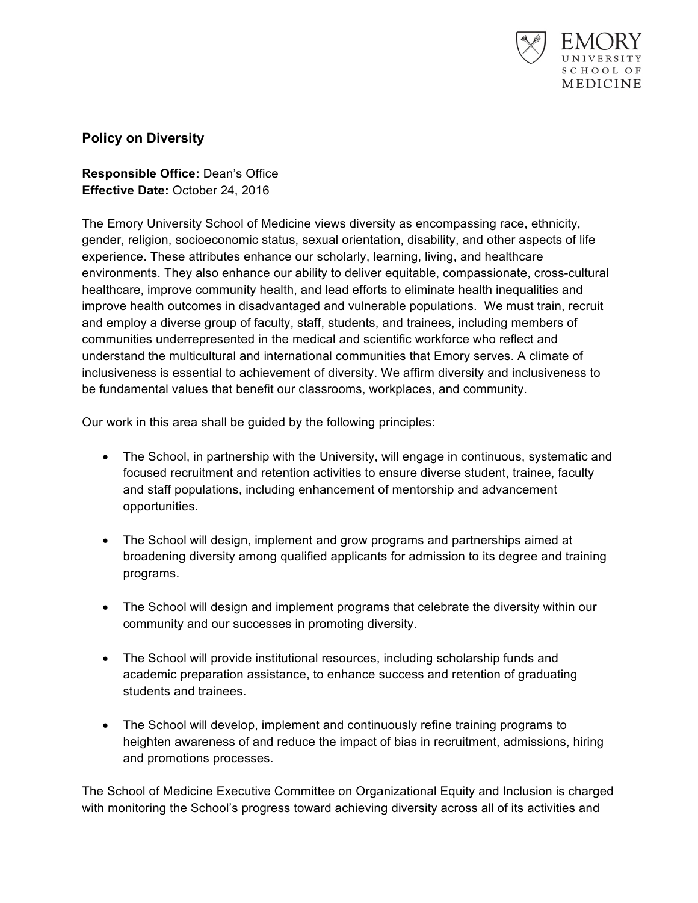

## **Policy on Diversity**

**Responsible Office:** Dean's Office **Effective Date:** October 24, 2016

The Emory University School of Medicine views diversity as encompassing race, ethnicity, gender, religion, socioeconomic status, sexual orientation, disability, and other aspects of life experience. These attributes enhance our scholarly, learning, living, and healthcare environments. They also enhance our ability to deliver equitable, compassionate, cross-cultural healthcare, improve community health, and lead efforts to eliminate health inequalities and improve health outcomes in disadvantaged and vulnerable populations. We must train, recruit and employ a diverse group of faculty, staff, students, and trainees, including members of communities underrepresented in the medical and scientific workforce who reflect and understand the multicultural and international communities that Emory serves. A climate of inclusiveness is essential to achievement of diversity. We affirm diversity and inclusiveness to be fundamental values that benefit our classrooms, workplaces, and community.

Our work in this area shall be guided by the following principles:

- The School, in partnership with the University, will engage in continuous, systematic and focused recruitment and retention activities to ensure diverse student, trainee, faculty and staff populations, including enhancement of mentorship and advancement opportunities.
- The School will design, implement and grow programs and partnerships aimed at broadening diversity among qualified applicants for admission to its degree and training programs.
- The School will design and implement programs that celebrate the diversity within our community and our successes in promoting diversity.
- The School will provide institutional resources, including scholarship funds and academic preparation assistance, to enhance success and retention of graduating students and trainees.
- The School will develop, implement and continuously refine training programs to heighten awareness of and reduce the impact of bias in recruitment, admissions, hiring and promotions processes.

The School of Medicine Executive Committee on Organizational Equity and Inclusion is charged with monitoring the School's progress toward achieving diversity across all of its activities and